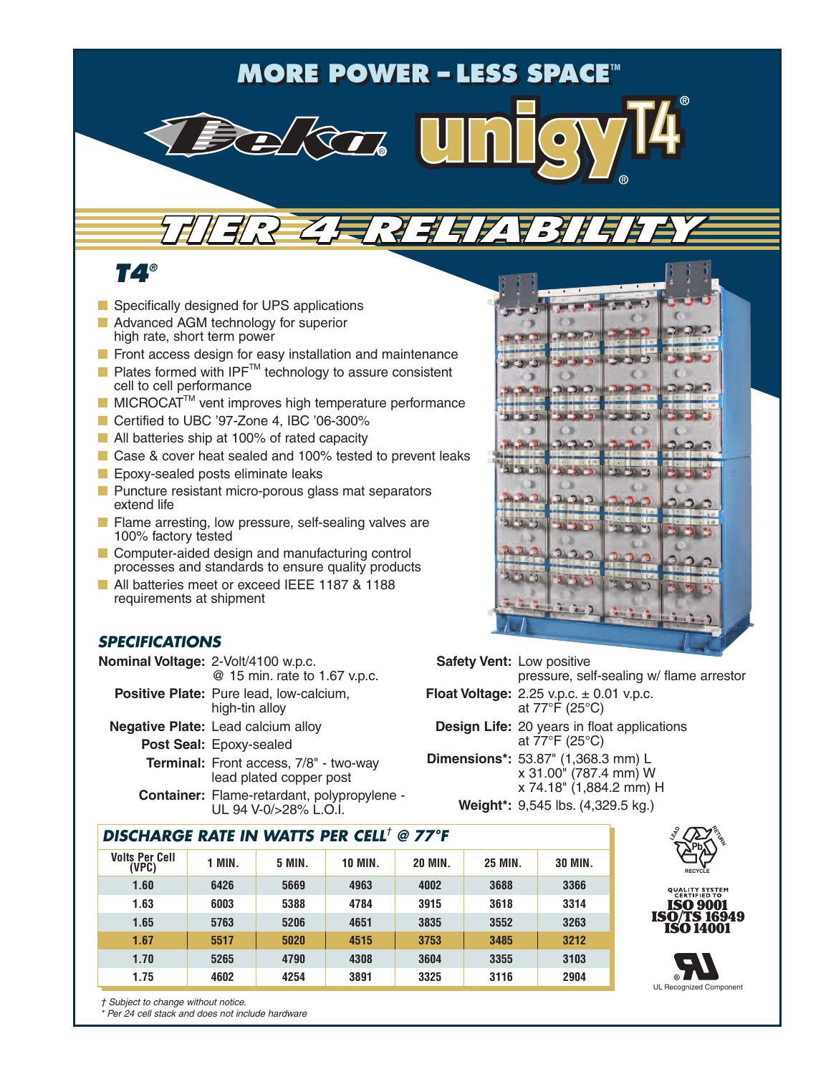## **MORE POWER − LESS SPACE™**

*TIER 4 RELIABILITY TIER 4 RELIABILITY*

*T4®*

- Specifically designed for UPS applications
- Advanced AGM technology for superior high rate, short term power
- Front access design for easy installation and maintenance
- Plates formed with IPF<sup>™</sup> technology to assure consistent cell to cell performance
- MICROCAT<sup>™</sup> vent improves high temperature performance
- Certified to UBC '97-Zone 4, IBC '06-300%
- All batteries ship at 100% of rated capacity
- Case & cover heat sealed and 100% tested to prevent leaks
- **■** Epoxy-sealed posts eliminate leaks
- Puncture resistant micro-porous glass mat separators extend life
- Flame arresting, low pressure, self-sealing valves are 100% factory tested
- Computer-aided design and manufacturing control processes and standards to ensure quality products
- All batteries meet or exceed IEEE 1187 & 1188 requirements at shipment

## *SPECIFICATIONS*

| Nominal Voltage: 2-Volt/4100 w.p.c.<br>@ 15 min. rate to 1.67 v.p.c. | S:   |  |
|----------------------------------------------------------------------|------|--|
| <b>Positive Plate:</b> Pure lead, low-calcium,<br>high-tin alloy     | :Flo |  |
| <b>Negative Plate:</b> Lead calcium alloy                            |      |  |
| Post Seal: Epoxy-sealed                                              |      |  |
| Terminal: Front access, 7/8" - two-way<br>lead plated copper post    | Din  |  |
| Container: Flame-retardant, polypropylene -<br>UL 94 V-0/>28% L.O.I. |      |  |
| <b>DISCHARGE RATE IN WATTS PER CELL<sup>†</sup> @ 77°F</b>           |      |  |

| Volts Per Cell<br>(VPC) | <b>1 MIN.</b> | <b>5 MIN.</b> | <b>10 MIN.</b> | <b>20 MIN.</b> | <b>25 MIN.</b> | <b>30 MIN.</b> |  |
|-------------------------|---------------|---------------|----------------|----------------|----------------|----------------|--|
| 1.60                    | 6426          | 5669          | 4963           | 4002           | 3688           | 3366           |  |
| 1.63                    | 6003          | 5388          | 4784           | 3915           | 3618           | 3314           |  |
| 1.65                    | 5763          | 5206          | 4651           | 3835           | 3552           | 3263           |  |
| 1.67                    | 5517          | 5020          | 4515           | 3753           | 3485           | 3212           |  |
| 1.70                    | 5265          | 4790          | 4308           | 3604           | 3355           | 3103           |  |
| 1.75                    | 4602          | 4254          | 3891           | 3325           | 3116           | 2904           |  |
|                         |               |               |                |                |                |                |  |







*† Subject to change without notice.*

*\* Per 24 cell stack and does not include hardware*



**Safety Vent:** Low positive pressure, self-sealing w/ flame arrestor **Float Voltage:** 2.25 v.p.c.  $\pm$  0.01 v.p.c. at 77°F (25°C) **Design Life:** 20 years in float applications

at 77°F (25°C) **Dimensions\*:** 53.87" (1,368.3 mm) L x 31.00" (787.4 mm) W x 74.18" (1,884.2 mm) H **Weight\*:** 9,545 lbs. (4,329.5 kg.)